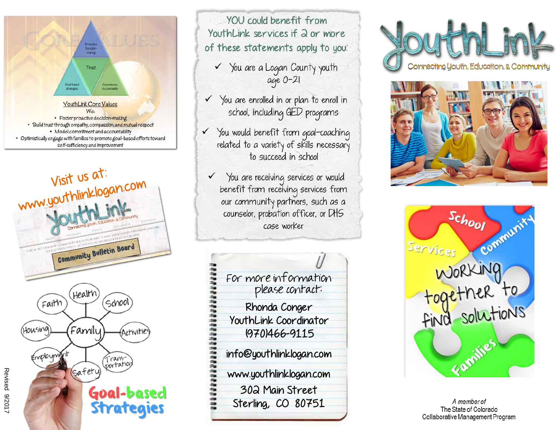



YOU could benefit from YouthLink services if a or more of these statements apply to you:

V You are a Logan County youth age 0-21

- V You are enrolled in or plan to enroll in school, including GED programs
- V You would benefit from goal-coaching related to a variety of skills necessary to succeed in school
	- You are receiving services or would benefit from receiving services from<br>our community partners, such as a counselor, probation officer, or DHS case worker









A member of The State of Colorado Collaborative Management Program